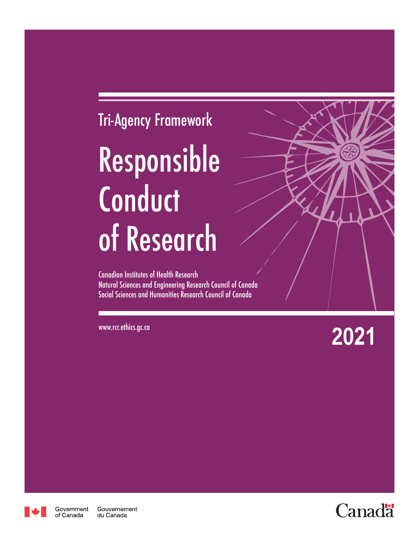# Tri-Agency Framework Responsible **Conduct** of Research

Canadian Institutes of Health Research Natural Sciences and Engineering Research Council of Canada Social Sciences and Humanities Research Council of Canada

www.rcr.ethics.gc.ca **2021**



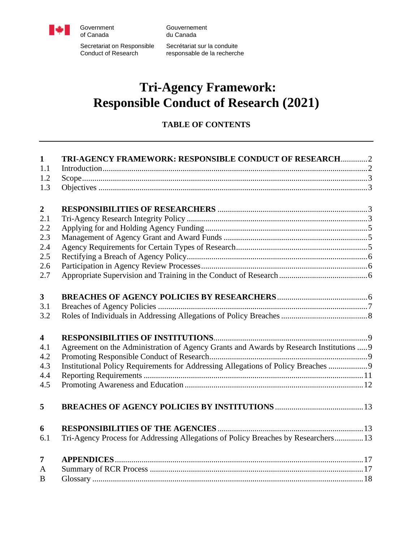

Government Gouvernement<br>
of Canada du Canada du Canada

Secretariat on Responsible Secrétariat sur la conduite<br>Conduct of Research responsable de la recherch

responsable de la recherche

# **Tri-Agency Framework: Responsible Conduct of Research (2021)**

# **TABLE OF CONTENTS**

| $\mathbf{1}$            | TRI-AGENCY FRAMEWORK: RESPONSIBLE CONDUCT OF RESEARCH2                                  |  |
|-------------------------|-----------------------------------------------------------------------------------------|--|
| 1.1                     |                                                                                         |  |
| 1.2                     |                                                                                         |  |
| 1.3                     |                                                                                         |  |
|                         |                                                                                         |  |
| $\boldsymbol{2}$        |                                                                                         |  |
| 2.1                     |                                                                                         |  |
| 2.2                     |                                                                                         |  |
| 2.3                     |                                                                                         |  |
| 2.4                     |                                                                                         |  |
| 2.5                     |                                                                                         |  |
| 2.6                     |                                                                                         |  |
| 2.7                     |                                                                                         |  |
|                         |                                                                                         |  |
| $\overline{\mathbf{3}}$ |                                                                                         |  |
| 3.1                     |                                                                                         |  |
| 3.2                     |                                                                                         |  |
|                         |                                                                                         |  |
| $\overline{\mathbf{4}}$ |                                                                                         |  |
| 4.1                     | Agreement on the Administration of Agency Grants and Awards by Research Institutions  9 |  |
| 4.2                     |                                                                                         |  |
| 4.3                     | Institutional Policy Requirements for Addressing Allegations of Policy Breaches  9      |  |
| 4.4                     |                                                                                         |  |
| 4.5                     |                                                                                         |  |
|                         |                                                                                         |  |
| 5                       |                                                                                         |  |
|                         |                                                                                         |  |
| 6                       |                                                                                         |  |
| 6.1                     | Tri-Agency Process for Addressing Allegations of Policy Breaches by Researchers 13      |  |
|                         |                                                                                         |  |
| $\overline{7}$          |                                                                                         |  |
| A                       |                                                                                         |  |
| B                       |                                                                                         |  |
|                         |                                                                                         |  |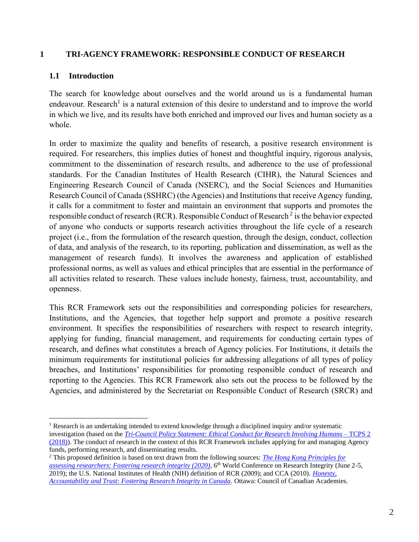#### <span id="page-2-0"></span>**1 TRI-AGENCY FRAMEWORK: RESPONSIBLE CONDUCT OF RESEARCH**

#### <span id="page-2-1"></span>**1.1 Introduction**

The search for knowledge about ourselves and the world around us is a fundamental human endeavour. Research<sup>1</sup> is a natural extension of this desire to understand and to improve the world in which we live, and its results have both enriched and improved our lives and human society as a whole.

In order to maximize the quality and benefits of research, a positive research environment is required. For researchers, this implies duties of honest and thoughtful inquiry, rigorous analysis, commitment to the dissemination of research results, and adherence to the use of professional standards. For the Canadian Institutes of Health Research (CIHR), the Natural Sciences and Engineering Research Council of Canada (NSERC), and the Social Sciences and Humanities Research Council of Canada (SSHRC) (the Agencies) and Institutions that receive Agency funding, it calls for a commitment to foster and maintain an environment that supports and promotes the responsible conduct of research (RCR). Responsible Conduct of Research<sup>2</sup> is the behavior expected of anyone who conducts or supports research activities throughout the life cycle of a research project (i.e., from the formulation of the research question, through the design, conduct, collection of data, and analysis of the research, to its reporting, publication and dissemination, as well as the management of research funds). It involves the awareness and application of established professional norms, as well as values and ethical principles that are essential in the performance of all activities related to research. These values include honesty, fairness, trust, accountability, and openness.

This RCR Framework sets out the responsibilities and corresponding policies for researchers, Institutions, and the Agencies, that together help support and promote a positive research environment. It specifies the responsibilities of researchers with respect to research integrity, applying for funding, financial management, and requirements for conducting certain types of research, and defines what constitutes a breach of Agency policies. For Institutions, it details the minimum requirements for institutional policies for addressing allegations of all types of policy breaches, and Institutions' responsibilities for promoting responsible conduct of research and reporting to the Agencies. This RCR Framework also sets out the process to be followed by the Agencies, and administered by the Secretariat on Responsible Conduct of Research (SRCR) and

<sup>&</sup>lt;sup>1</sup> Research is an undertaking intended to extend knowledge through a disciplined inquiry and/or systematic investigation (based on the *[Tri-Council Policy Statement: Ethical Conduct for Research Involving Humans](https://ethics.gc.ca/eng/policy-politique_tcps2-eptc2_2018.html)* – TCPS 2 [\(2018\)\)](https://ethics.gc.ca/eng/policy-politique_tcps2-eptc2_2018.html). The conduct of research in the context of this RCR Framework includes applying for and managing Agency funds, performing research, and disseminating results.

<sup>2</sup> This proposed definition is based on text drawn from the following sources: *[The Hong Kong Principles for](https://wcrif.org/images/2020/HKP/Moher_et_al_-_The_Hong_Kong_Principles_for_assessing_researchers_-_PLoS_Biol_2020_18_e3000737.pdf)  [assessing researchers: Fostering research integrity \(2020\)](https://wcrif.org/images/2020/HKP/Moher_et_al_-_The_Hong_Kong_Principles_for_assessing_researchers_-_PLoS_Biol_2020_18_e3000737.pdf)*, 6 th World Conference on Research Integrity (June 2-5, 2019); the U.S. National Institutes of Health (NIH) definition of RCR (2009); and CCA (2010). *[Honesty,](https://cca-reports.ca/wp-content/uploads/2018/10/ri_report.pdf)  [Accountability and Trust: Fostering Research Integrity in Canada](https://cca-reports.ca/wp-content/uploads/2018/10/ri_report.pdf)*. Ottawa: Council of Canadian Academies.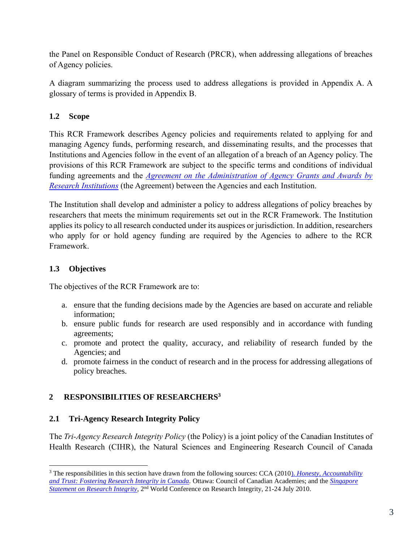the Panel on Responsible Conduct of Research (PRCR), when addressing allegations of breaches of Agency policies.

A diagram summarizing the process used to address allegations is provided in Appendix A. A glossary of terms is provided in Appendix B.

# <span id="page-3-0"></span>**1.2 Scope**

This RCR Framework describes Agency policies and requirements related to applying for and managing Agency funds, performing research, and disseminating results, and the processes that Institutions and Agencies follow in the event of an allegation of a breach of an Agency policy. The provisions of this RCR Framework are subject to the specific terms and conditions of individual funding agreements and the *[Agreement on the Administration of Agency Grants and Awards by](https://www.science.gc.ca/eic/site/063.nsf/eng/h_56B87BE5.html)  [Research Institutions](https://www.science.gc.ca/eic/site/063.nsf/eng/h_56B87BE5.html)* (the Agreement) between the Agencies and each Institution.

The Institution shall develop and administer a policy to address allegations of policy breaches by researchers that meets the minimum requirements set out in the RCR Framework. The Institution applies its policy to all research conducted under its auspices or jurisdiction. In addition, researchers who apply for or hold agency funding are required by the Agencies to adhere to the RCR Framework.

# <span id="page-3-1"></span>**1.3 Objectives**

The objectives of the RCR Framework are to:

- a. ensure that the funding decisions made by the Agencies are based on accurate and reliable information;
- b. ensure public funds for research are used responsibly and in accordance with funding agreements;
- c. promote and protect the quality, accuracy, and reliability of research funded by the Agencies; and
- d. promote fairness in the conduct of research and in the process for addressing allegations of policy breaches.

# <span id="page-3-2"></span>**2 RESPONSIBILITIES OF RESEARCHERS<sup>3</sup>**

# <span id="page-3-3"></span>**2.1 Tri-Agency Research Integrity Policy**

The *Tri-Agency Research Integrity Policy* (the Policy) is a joint policy of the Canadian Institutes of Health Research (CIHR), the Natural Sciences and Engineering Research Council of Canada

<sup>3</sup> The responsibilities in this section have drawn from the following sources: CCA (2010). *[Honesty, Accountability](https://cca-reports.ca/wp-content/uploads/2018/10/ri_report.pdf)  [and Trust: Fostering Research Integrity in Canada.](https://cca-reports.ca/wp-content/uploads/2018/10/ri_report.pdf)* Ottawa: Council of Canadian Academies; and the *[Singapore](https://wcrif.org/guidance/singapore-statement)*  [Statement on Research Integrity](https://wcrif.org/guidance/singapore-statement), 2<sup>nd</sup> World Conference on Research Integrity, 21-24 July 2010.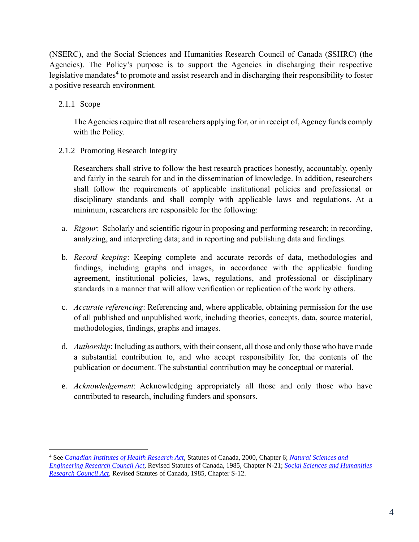(NSERC), and the Social Sciences and Humanities Research Council of Canada (SSHRC) (the Agencies). The Policy's purpose is to support the Agencies in discharging their respective legislative mandates<sup>4</sup> to promote and assist research and in discharging their responsibility to foster a positive research environment.

2.1.1 Scope

The Agencies require that all researchers applying for, or in receipt of, Agency funds comply with the Policy.

2.1.2 Promoting Research Integrity

Researchers shall strive to follow the best research practices honestly, accountably, openly and fairly in the search for and in the dissemination of knowledge. In addition, researchers shall follow the requirements of applicable institutional policies and professional or disciplinary standards and shall comply with applicable laws and regulations. At a minimum, researchers are responsible for the following:

- a. *Rigour*: Scholarly and scientific rigour in proposing and performing research; in recording, analyzing, and interpreting data; and in reporting and publishing data and findings.
- b. *Record keeping*: Keeping complete and accurate records of data, methodologies and findings, including graphs and images, in accordance with the applicable funding agreement, institutional policies, laws, regulations, and professional or disciplinary standards in a manner that will allow verification or replication of the work by others.
- c. *Accurate referencing*: Referencing and, where applicable, obtaining permission for the use of all published and unpublished work, including theories, concepts, data, source material, methodologies, findings, graphs and images.
- d. *Authorship*: Including as authors, with their consent, all those and only those who have made a substantial contribution to, and who accept responsibility for, the contents of the publication or document. The substantial contribution may be conceptual or material.
- e. *Acknowledgement*: Acknowledging appropriately all those and only those who have contributed to research, including funders and sponsors.

<sup>4</sup> See *[Canadian Institutes of Health Research Act](https://laws-lois.justice.gc.ca/eng/acts/C-18.1/FullText.html)*, Statutes of Canada, 2000, Chapter 6; *[Natural Sciences and](https://laws.justice.gc.ca/eng/acts/N-21/page-1.html)  [Engineering Research Council Act](https://laws.justice.gc.ca/eng/acts/N-21/page-1.html)*, Revised Statutes of Canada, 1985, Chapter N-21; *[Social Sciences and Humanities](https://laws-lois.justice.gc.ca/eng/acts/S-12/page-1.html)  [Research Council Act](https://laws-lois.justice.gc.ca/eng/acts/S-12/page-1.html)*, Revised Statutes of Canada, 1985, Chapter S-12.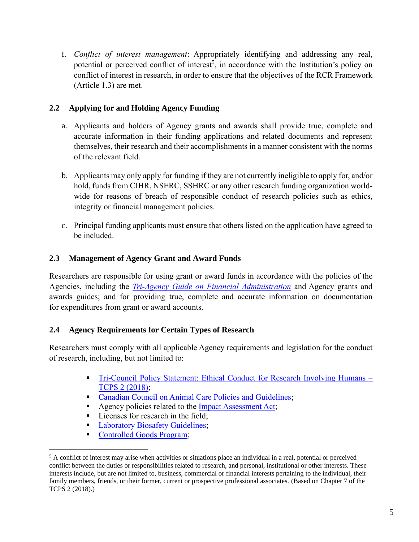f. *Conflict of interest management*: Appropriately identifying and addressing any real, potential or perceived conflict of interest<sup>5</sup>, in accordance with the Institution's policy on conflict of interest in research, in order to ensure that the objectives of the RCR Framework (Article 1.3) are met.

# <span id="page-5-0"></span>**2.2 Applying for and Holding Agency Funding**

- a. Applicants and holders of Agency grants and awards shall provide true, complete and accurate information in their funding applications and related documents and represent themselves, their research and their accomplishments in a manner consistent with the norms of the relevant field.
- b. Applicants may only apply for funding if they are not currently ineligible to apply for, and/or hold, funds from CIHR, NSERC, SSHRC or any other research funding organization worldwide for reasons of breach of responsible conduct of research policies such as ethics, integrity or financial management policies.
- c. Principal funding applicants must ensure that others listed on the application have agreed to be included.

# <span id="page-5-1"></span>**2.3 Management of Agency Grant and Award Funds**

Researchers are responsible for using grant or award funds in accordance with the policies of the Agencies, including the *[Tri-Agency Guide on Financial Administration](https://www.nserc-crsng.gc.ca/InterAgency-Interorganismes/TAFA-AFTO/guide-guide_eng.asp)* and Agency grants and awards guides; and for providing true, complete and accurate information on documentation for expenditures from grant or award accounts.

# <span id="page-5-2"></span>**2.4 Agency Requirements for Certain Types of Research**

Researchers must comply with all applicable Agency requirements and legislation for the conduct of research, including, but not limited to:

- [Tri-Council Policy Statement: Ethical Conduct for](https://ethics.gc.ca/eng/policy-politique_tcps2-eptc2_2018.html) Research Involving Humans *–* [TCPS 2 \(2018\);](https://ethics.gc.ca/eng/policy-politique_tcps2-eptc2_2018.html)
- [Canadian Council on Animal Care Policies and Guidelines;](https://ccac.ca/en/standards/)
- Agency policies related to the Impact [Assessment Act;](https://laws.justice.gc.ca/eng/acts/i-2.75/page-1.html)
- **EXECUTE:** Licenses for research in the field;
- **[Laboratory Biosafety Guidelines;](https://www.canada.ca/en/services/health/biosafety-biosecurity.html)**
- [Controlled Goods Program;](https://www.tpsgc-pwgsc.gc.ca/pmc-cgp/index-eng.html)

<sup>&</sup>lt;sup>5</sup> A conflict of interest may arise when activities or situations place an individual in a real, potential or perceived conflict between the duties or responsibilities related to research, and personal, institutional or other interests. These interests include, but are not limited to, business, commercial or financial interests pertaining to the individual, their family members, friends, or their former, current or prospective professional associates. (Based on Chapter 7 of the TCPS 2 (2018).)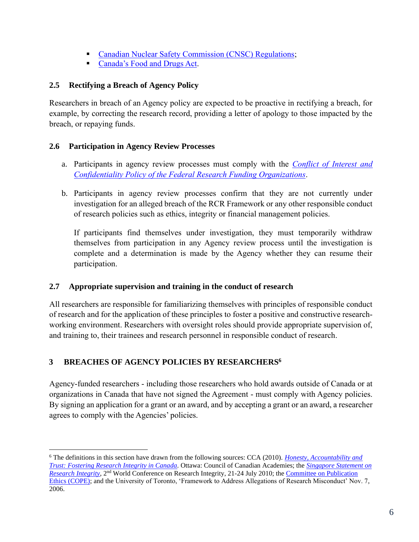- [Canadian Nuclear Safety Commission \(CNSC\) Regulations;](https://nuclearsafety.gc.ca/eng/acts-and-regulations/)
- [Canada's Food and Drugs Act.](https://laws-lois.justice.gc.ca/eng/acts/f-27/)

# <span id="page-6-0"></span>**2.5 Rectifying a Breach of Agency Policy**

Researchers in breach of an Agency policy are expected to be proactive in rectifying a breach, for example, by correcting the research record, providing a letter of apology to those impacted by the breach, or repaying funds.

# <span id="page-6-1"></span>**2.6 Participation in Agency Review Processes**

- a. Participants in agency review processes must comply with the *[Conflict of Interest and](http://www.science.gc.ca/default.asp?lang=En&n=90108244-1)  [Confidentiality Policy of the Federal Research Funding Organizations](http://www.science.gc.ca/default.asp?lang=En&n=90108244-1)*.
- b. Participants in agency review processes confirm that they are not currently under investigation for an alleged breach of the RCR Framework or any other responsible conduct of research policies such as ethics, integrity or financial management policies.

If participants find themselves under investigation, they must temporarily withdraw themselves from participation in any Agency review process until the investigation is complete and a determination is made by the Agency whether they can resume their participation.

# <span id="page-6-2"></span>**2.7 Appropriate supervision and training in the conduct of research**

All researchers are responsible for familiarizing themselves with principles of responsible conduct of research and for the application of these principles to foster a positive and constructive researchworking environment. Researchers with oversight roles should provide appropriate supervision of, and training to, their trainees and research personnel in responsible conduct of research.

# <span id="page-6-3"></span>**3 BREACHES OF AGENCY POLICIES BY RESEARCHERS 6**

Agency-funded researchers - including those researchers who hold awards outside of Canada or at organizations in Canada that have not signed the Agreement - must comply with Agency policies. By signing an application for a grant or an award, and by accepting a grant or an award, a researcher agrees to comply with the Agencies' policies.

<sup>6</sup> The definitions in this section have drawn from the following sources: CCA (2010). *[Honesty, Accountability and](https://cca-reports.ca/wp-content/uploads/2018/10/ri_report.pdf)  [Trust: Fostering Research Integrity in Canada.](https://cca-reports.ca/wp-content/uploads/2018/10/ri_report.pdf)* Ottawa: Council of Canadian Academies; the *[Singapore Statement on](https://wcrif.org/statement)*  [Research Integrity](https://wcrif.org/statement), 2<sup>nd</sup> World Conference on Research Integrity, 21-24 July 2010; the Committee on Publication [Ethics \(COPE\);](http://www.publicationethics.org/) and the University of Toronto, 'Framework to Address Allegations of Research Misconduct' Nov. 7, 2006.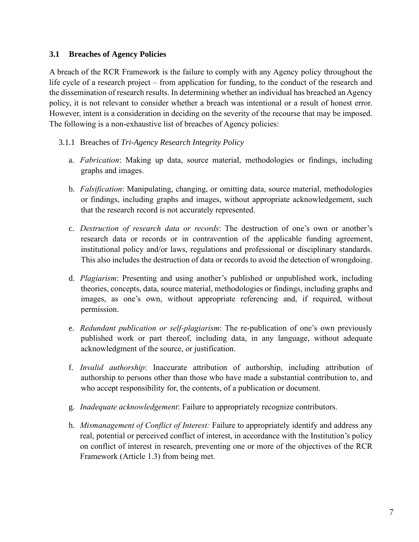#### <span id="page-7-0"></span>**3.1 Breaches of Agency Policies**

A breach of the RCR Framework is the failure to comply with any Agency policy throughout the life cycle of a research project – from application for funding, to the conduct of the research and the dissemination of research results. In determining whether an individual has breached an Agency policy, it is not relevant to consider whether a breach was intentional or a result of honest error. However, intent is a consideration in deciding on the severity of the recourse that may be imposed. The following is a non-exhaustive list of breaches of Agency policies:

- 3.1.1 Breaches of *Tri-Agency Research Integrity Policy*
	- a. *Fabrication*: Making up data, source material, methodologies or findings, including graphs and images.
	- b. *Falsification*: Manipulating, changing, or omitting data, source material, methodologies or findings, including graphs and images, without appropriate acknowledgement, such that the research record is not accurately represented.
	- c. *Destruction of research data or records*: The destruction of one's own or another's research data or records or in contravention of the applicable funding agreement, institutional policy and/or laws, regulations and professional or disciplinary standards. This also includes the destruction of data or records to avoid the detection of wrongdoing.
	- d. *Plagiarism*: Presenting and using another's published or unpublished work, including theories, concepts, data, source material, methodologies or findings, including graphs and images, as one's own, without appropriate referencing and, if required, without permission.
	- e. *Redundant publication or self-plagiarism*: The re-publication of one's own previously published work or part thereof, including data, in any language, without adequate acknowledgment of the source, or justification.
	- f. *Invalid authorship*: Inaccurate attribution of authorship, including attribution of authorship to persons other than those who have made a substantial contribution to, and who accept responsibility for, the contents, of a publication or document.
	- g. *Inadequate acknowledgement*: Failure to appropriately recognize contributors.
	- h. *Mismanagement of Conflict of Interest:* Failure to appropriately identify and address any real, potential or perceived conflict of interest, in accordance with the Institution's policy on conflict of interest in research, preventing one or more of the objectives of the RCR Framework (Article 1.3) from being met.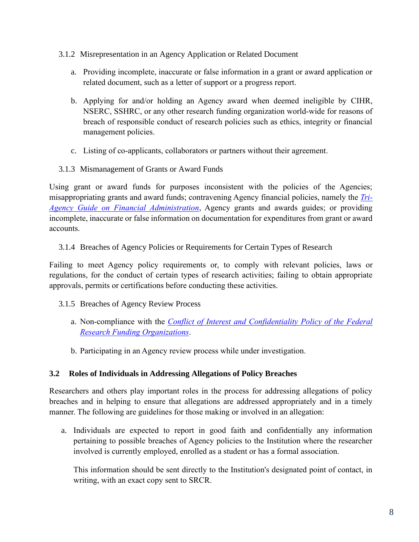- 3.1.2 Misrepresentation in an Agency Application or Related Document
	- a. Providing incomplete, inaccurate or false information in a grant or award application or related document, such as a letter of support or a progress report.
	- b. Applying for and/or holding an Agency award when deemed ineligible by CIHR, NSERC, SSHRC, or any other research funding organization world-wide for reasons of breach of responsible conduct of research policies such as ethics, integrity or financial management policies.
	- c. Listing of co-applicants, collaborators or partners without their agreement.
- 3.1.3 Mismanagement of Grants or Award Funds

Using grant or award funds for purposes inconsistent with the policies of the Agencies; misappropriating grants and award funds; contravening Agency financial policies, namely the *[Tri-](https://www.nserc-crsng.gc.ca/InterAgency-Interorganismes/TAFA-AFTO/guide-guide_eng.asp)[Agency Guide on Financial Administration](https://www.nserc-crsng.gc.ca/InterAgency-Interorganismes/TAFA-AFTO/guide-guide_eng.asp)*, Agency grants and awards guides; or providing incomplete, inaccurate or false information on documentation for expenditures from grant or award accounts.

3.1.4 Breaches of Agency Policies or Requirements for Certain Types of Research

Failing to meet Agency policy requirements or, to comply with relevant policies, laws or regulations, for the conduct of certain types of research activities; failing to obtain appropriate approvals, permits or certifications before conducting these activities.

- 3.1.5 Breaches of Agency Review Process
	- a. Non-compliance with the *[Conflict of Interest and Confidentiality Policy of the Federal](http://www.science.gc.ca/default.asp?lang=En&n=90108244-1)  [Research Funding Organizations](http://www.science.gc.ca/default.asp?lang=En&n=90108244-1)*.
	- b. Participating in an Agency review process while under investigation.

# <span id="page-8-0"></span>**3.2 Roles of Individuals in Addressing Allegations of Policy Breaches**

Researchers and others play important roles in the process for addressing allegations of policy breaches and in helping to ensure that allegations are addressed appropriately and in a timely manner. The following are guidelines for those making or involved in an allegation:

a. Individuals are expected to report in good faith and confidentially any information pertaining to possible breaches of Agency policies to the Institution where the researcher involved is currently employed, enrolled as a student or has a formal association.

This information should be sent directly to the Institution's designated point of contact, in writing, with an exact copy sent to SRCR.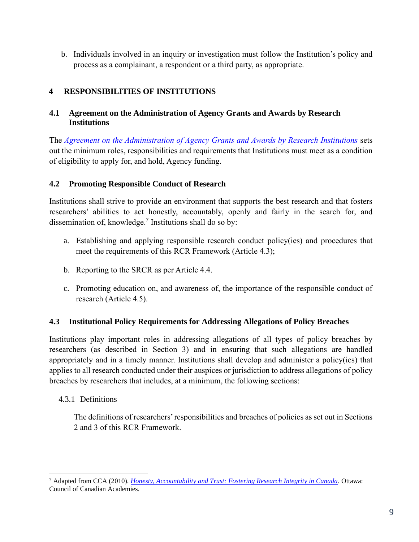b. Individuals involved in an inquiry or investigation must follow the Institution's policy and process as a complainant, a respondent or a third party, as appropriate.

# <span id="page-9-0"></span>**4 RESPONSIBILITIES OF INSTITUTIONS**

# <span id="page-9-1"></span>**4.1 Agreement on the Administration of Agency Grants and Awards by Research Institutions**

The *[Agreement on the Administration of Agency Grants and Awards by Research Institutions](https://www.science.gc.ca/eic/site/063.nsf/eng/h_56B87BE5.html?OpenDocument)* sets out the minimum roles, responsibilities and requirements that Institutions must meet as a condition of eligibility to apply for, and hold, Agency funding.

# <span id="page-9-2"></span>**4.2 Promoting Responsible Conduct of Research**

Institutions shall strive to provide an environment that supports the best research and that fosters researchers' abilities to act honestly, accountably, openly and fairly in the search for, and dissemination of, knowledge.<sup>7</sup> Institutions shall do so by:

- a. Establishing and applying responsible research conduct policy(ies) and procedures that meet the requirements of this RCR Framework (Article 4.3);
- b. Reporting to the SRCR as per Article 4.4.
- c. Promoting education on, and awareness of, the importance of the responsible conduct of research (Article 4.5).

# <span id="page-9-3"></span>**4.3 Institutional Policy Requirements for Addressing Allegations of Policy Breaches**

Institutions play important roles in addressing allegations of all types of policy breaches by researchers (as described in Section 3) and in ensuring that such allegations are handled appropriately and in a timely manner. Institutions shall develop and administer a policy(ies) that applies to all research conducted under their auspices or jurisdiction to address allegations of policy breaches by researchers that includes, at a minimum, the following sections:

# 4.3.1 Definitions

The definitions of researchers'responsibilities and breaches of policies as set out in Sections 2 and 3 of this RCR Framework.

<sup>7</sup> Adapted from CCA (2010). *[Honesty, Accountability and Trust: Fostering Research Integrity in Canada](https://cca-reports.ca/wp-content/uploads/2018/10/ri_report.pdf)*. Ottawa: Council of Canadian Academies.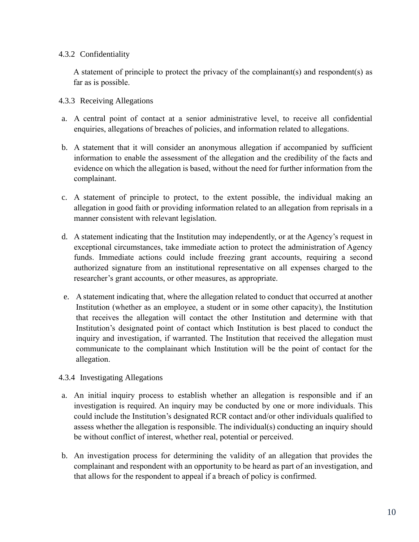#### 4.3.2 Confidentiality

A statement of principle to protect the privacy of the complainant(s) and respondent(s) as far as is possible.

#### 4.3.3 Receiving Allegations

- a. A central point of contact at a senior administrative level, to receive all confidential enquiries, allegations of breaches of policies, and information related to allegations.
- b. A statement that it will consider an anonymous allegation if accompanied by sufficient information to enable the assessment of the allegation and the credibility of the facts and evidence on which the allegation is based, without the need for further information from the complainant.
- c. A statement of principle to protect, to the extent possible, the individual making an allegation in good faith or providing information related to an allegation from reprisals in a manner consistent with relevant legislation.
- d. A statement indicating that the Institution may independently, or at the Agency's request in exceptional circumstances, take immediate action to protect the administration of Agency funds. Immediate actions could include freezing grant accounts, requiring a second authorized signature from an institutional representative on all expenses charged to the researcher's grant accounts, or other measures, as appropriate.
- e. A statement indicating that, where the allegation related to conduct that occurred at another Institution (whether as an employee, a student or in some other capacity), the Institution that receives the allegation will contact the other Institution and determine with that Institution's designated point of contact which Institution is best placed to conduct the inquiry and investigation, if warranted. The Institution that received the allegation must communicate to the complainant which Institution will be the point of contact for the allegation.

#### 4.3.4 Investigating Allegations

- a. An initial inquiry process to establish whether an allegation is responsible and if an investigation is required. An inquiry may be conducted by one or more individuals. This could include the Institution's designated RCR contact and/or other individuals qualified to assess whether the allegation is responsible. The individual(s) conducting an inquiry should be without conflict of interest, whether real, potential or perceived.
- b. An investigation process for determining the validity of an allegation that provides the complainant and respondent with an opportunity to be heard as part of an investigation, and that allows for the respondent to appeal if a breach of policy is confirmed.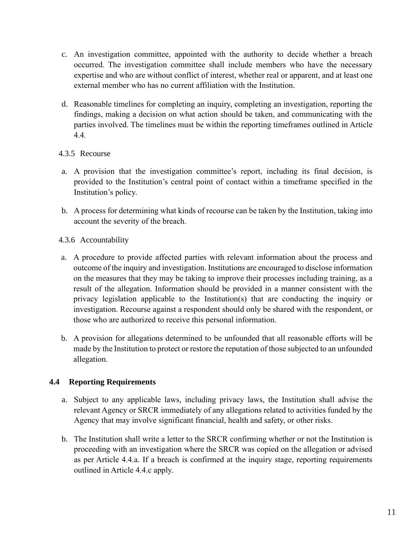- c. An investigation committee, appointed with the authority to decide whether a breach occurred. The investigation committee shall include members who have the necessary expertise and who are without conflict of interest, whether real or apparent, and at least one external member who has no current affiliation with the Institution.
- d. Reasonable timelines for completing an inquiry, completing an investigation, reporting the findings, making a decision on what action should be taken, and communicating with the parties involved. The timelines must be within the reporting timeframes outlined in Article 4.4*.*

# 4.3.5 Recourse

- a. A provision that the investigation committee's report, including its final decision, is provided to the Institution's central point of contact within a timeframe specified in the Institution's policy.
- b. A process for determining what kinds of recourse can be taken by the Institution, taking into account the severity of the breach.
- 4.3.6 Accountability
- a. A procedure to provide affected parties with relevant information about the process and outcome of the inquiry and investigation. Institutions are encouraged to disclose information on the measures that they may be taking to improve their processes including training, as a result of the allegation. Information should be provided in a manner consistent with the privacy legislation applicable to the Institution(s) that are conducting the inquiry or investigation. Recourse against a respondent should only be shared with the respondent, or those who are authorized to receive this personal information.
- b. A provision for allegations determined to be unfounded that all reasonable efforts will be made by the Institution to protect or restore the reputation of those subjected to an unfounded allegation.

# <span id="page-11-0"></span>**4.4 Reporting Requirements**

- a. Subject to any applicable laws, including privacy laws, the Institution shall advise the relevant Agency or SRCR immediately of any allegations related to activities funded by the Agency that may involve significant financial, health and safety, or other risks.
- b. The Institution shall write a letter to the SRCR confirming whether or not the Institution is proceeding with an investigation where the SRCR was copied on the allegation or advised as per Article 4.4.a. If a breach is confirmed at the inquiry stage, reporting requirements outlined in Article 4.4.c apply.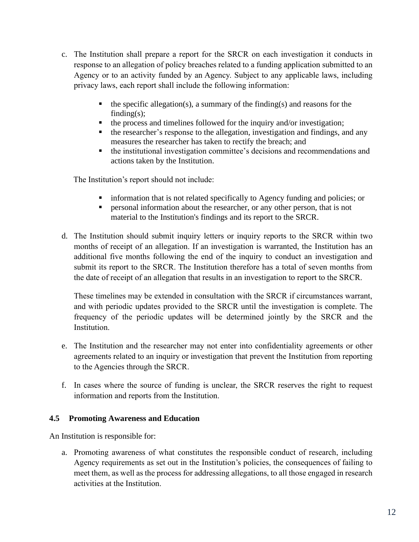- c. The Institution shall prepare a report for the SRCR on each investigation it conducts in response to an allegation of policy breaches related to a funding application submitted to an Agency or to an activity funded by an Agency. Subject to any applicable laws, including privacy laws, each report shall include the following information:
	- $\blacksquare$  the specific allegation(s), a summary of the finding(s) and reasons for the finding $(s)$ ;
	- the process and timelines followed for the inquiry and/or investigation;
	- the researcher's response to the allegation, investigation and findings, and any measures the researcher has taken to rectify the breach; and
	- the institutional investigation committee's decisions and recommendations and actions taken by the Institution.

The Institution's report should not include:

- information that is not related specifically to Agency funding and policies; or
- **•** personal information about the researcher, or any other person, that is not material to the Institution's findings and its report to the SRCR.
- d. The Institution should submit inquiry letters or inquiry reports to the SRCR within two months of receipt of an allegation. If an investigation is warranted, the Institution has an additional five months following the end of the inquiry to conduct an investigation and submit its report to the SRCR. The Institution therefore has a total of seven months from the date of receipt of an allegation that results in an investigation to report to the SRCR.

These timelines may be extended in consultation with the SRCR if circumstances warrant, and with periodic updates provided to the SRCR until the investigation is complete. The frequency of the periodic updates will be determined jointly by the SRCR and the Institution.

- e. The Institution and the researcher may not enter into confidentiality agreements or other agreements related to an inquiry or investigation that prevent the Institution from reporting to the Agencies through the SRCR.
- f. In cases where the source of funding is unclear, the SRCR reserves the right to request information and reports from the Institution.

#### <span id="page-12-0"></span>**4.5 Promoting Awareness and Education**

An Institution is responsible for:

a. Promoting awareness of what constitutes the responsible conduct of research, including Agency requirements as set out in the Institution's policies, the consequences of failing to meet them, as well as the process for addressing allegations, to all those engaged in research activities at the Institution.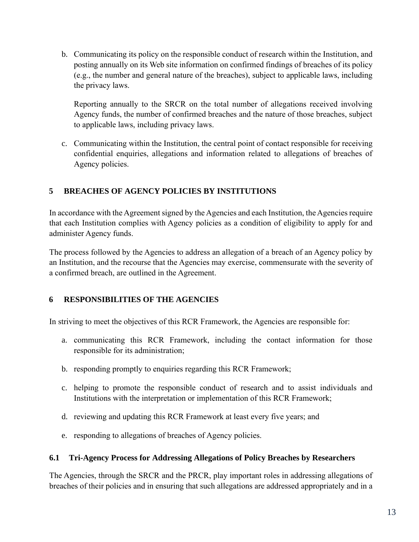b. Communicating its policy on the responsible conduct of research within the Institution, and posting annually on its Web site information on confirmed findings of breaches of its policy (e.g., the number and general nature of the breaches), subject to applicable laws, including the privacy laws.

Reporting annually to the SRCR on the total number of allegations received involving Agency funds, the number of confirmed breaches and the nature of those breaches, subject to applicable laws, including privacy laws.

c. Communicating within the Institution, the central point of contact responsible for receiving confidential enquiries, allegations and information related to allegations of breaches of Agency policies.

# <span id="page-13-0"></span>**5 BREACHES OF AGENCY POLICIES BY INSTITUTIONS**

In accordance with the Agreement signed by the Agencies and each Institution, the Agencies require that each Institution complies with Agency policies as a condition of eligibility to apply for and administer Agency funds.

The process followed by the Agencies to address an allegation of a breach of an Agency policy by an Institution, and the recourse that the Agencies may exercise, commensurate with the severity of a confirmed breach, are outlined in the Agreement.

# <span id="page-13-1"></span>**6 RESPONSIBILITIES OF THE AGENCIES**

In striving to meet the objectives of this RCR Framework, the Agencies are responsible for:

- a. communicating this RCR Framework, including the contact information for those responsible for its administration;
- b. responding promptly to enquiries regarding this RCR Framework;
- c. helping to promote the responsible conduct of research and to assist individuals and Institutions with the interpretation or implementation of this RCR Framework;
- d. reviewing and updating this RCR Framework at least every five years; and
- e. responding to allegations of breaches of Agency policies.

#### <span id="page-13-2"></span>**6.1 Tri-Agency Process for Addressing Allegations of Policy Breaches by Researchers**

The Agencies, through the SRCR and the PRCR, play important roles in addressing allegations of breaches of their policies and in ensuring that such allegations are addressed appropriately and in a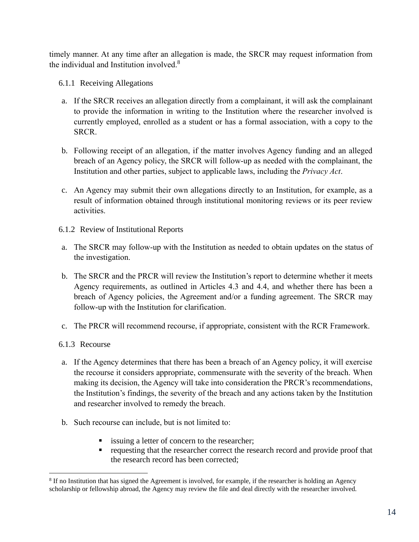timely manner. At any time after an allegation is made, the SRCR may request information from the individual and Institution involved.<sup>8</sup>

- 6.1.1 Receiving Allegations
- a. If the SRCR receives an allegation directly from a complainant, it will ask the complainant to provide the information in writing to the Institution where the researcher involved is currently employed, enrolled as a student or has a formal association, with a copy to the SRCR.
- b. Following receipt of an allegation, if the matter involves Agency funding and an alleged breach of an Agency policy, the SRCR will follow-up as needed with the complainant, the Institution and other parties, subject to applicable laws, including the *Privacy Act*.
- c. An Agency may submit their own allegations directly to an Institution, for example, as a result of information obtained through institutional monitoring reviews or its peer review activities.
- 6.1.2 Review of Institutional Reports
- a. The SRCR may follow-up with the Institution as needed to obtain updates on the status of the investigation.
- b. The SRCR and the PRCR will review the Institution's report to determine whether it meets Agency requirements, as outlined in Articles 4.3 and 4.4, and whether there has been a breach of Agency policies, the Agreement and/or a funding agreement. The SRCR may follow-up with the Institution for clarification.
- c. The PRCR will recommend recourse, if appropriate, consistent with the RCR Framework.
- 6.1.3 Recourse
- a. If the Agency determines that there has been a breach of an Agency policy, it will exercise the recourse it considers appropriate, commensurate with the severity of the breach. When making its decision, the Agency will take into consideration the PRCR's recommendations, the Institution's findings, the severity of the breach and any actions taken by the Institution and researcher involved to remedy the breach.
- b. Such recourse can include, but is not limited to:
	- issuing a letter of concern to the researcher;
	- requesting that the researcher correct the research record and provide proof that the research record has been corrected;

<sup>&</sup>lt;sup>8</sup> If no Institution that has signed the Agreement is involved, for example, if the researcher is holding an Agency scholarship or fellowship abroad, the Agency may review the file and deal directly with the researcher involved.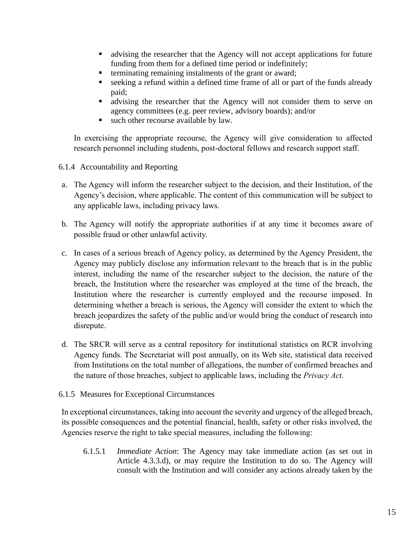- advising the researcher that the Agency will not accept applications for future funding from them for a defined time period or indefinitely;
- **•** terminating remaining instalments of the grant or award;
- seeking a refund within a defined time frame of all or part of the funds already paid;
- **Exercise 1** advising the researcher that the Agency will not consider them to serve on agency committees (e.g. peer review, advisory boards); and/or
- such other recourse available by law.

In exercising the appropriate recourse, the Agency will give consideration to affected research personnel including students, post-doctoral fellows and research support staff.

- 6.1.4 Accountability and Reporting
- a. The Agency will inform the researcher subject to the decision, and their Institution, of the Agency's decision, where applicable. The content of this communication will be subject to any applicable laws, including privacy laws.
- b. The Agency will notify the appropriate authorities if at any time it becomes aware of possible fraud or other unlawful activity.
- c. In cases of a serious breach of Agency policy, as determined by the Agency President, the Agency may publicly disclose any information relevant to the breach that is in the public interest, including the name of the researcher subject to the decision, the nature of the breach, the Institution where the researcher was employed at the time of the breach, the Institution where the researcher is currently employed and the recourse imposed. In determining whether a breach is serious, the Agency will consider the extent to which the breach jeopardizes the safety of the public and/or would bring the conduct of research into disrepute.
- d. The SRCR will serve as a central repository for institutional statistics on RCR involving Agency funds. The Secretariat will post annually, on its Web site, statistical data received from Institutions on the total number of allegations, the number of confirmed breaches and the nature of those breaches, subject to applicable laws, including the *Privacy Act*.
- 6.1.5 Measures for Exceptional Circumstances

In exceptional circumstances, taking into account the severity and urgency of the alleged breach, its possible consequences and the potential financial, health, safety or other risks involved, the Agencies reserve the right to take special measures, including the following:

6.1.5.1 *Immediate Action*: The Agency may take immediate action (as set out in Article 4.3.3.d), or may require the Institution to do so. The Agency will consult with the Institution and will consider any actions already taken by the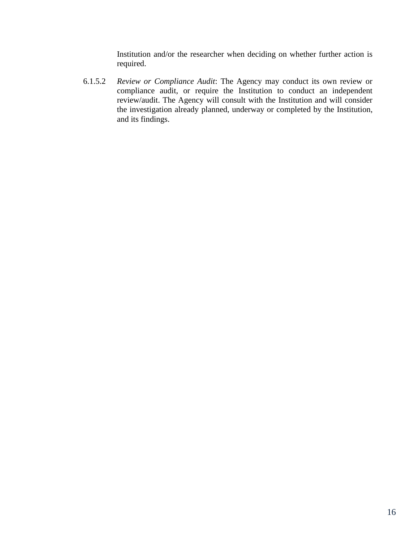Institution and/or the researcher when deciding on whether further action is required.

6.1.5.2 *Review or Compliance Audit*: The Agency may conduct its own review or compliance audit, or require the Institution to conduct an independent review/audit. The Agency will consult with the Institution and will consider the investigation already planned, underway or completed by the Institution, and its findings.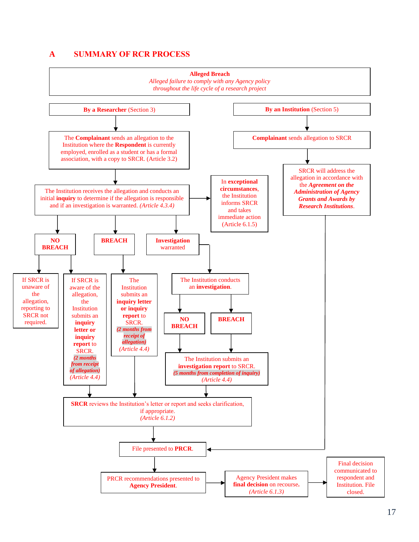#### <span id="page-17-0"></span>**A SUMMARY OF RCR PROCESS**

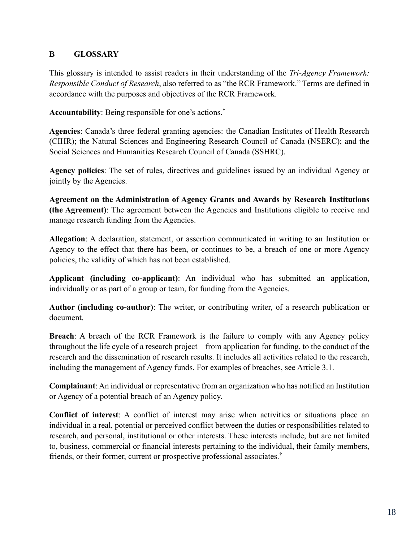# <span id="page-18-0"></span>**B GLOSSARY**

This glossary is intended to assist readers in their understanding of the *Tri-Agency Framework: Responsible Conduct of Research*, also referred to as "the RCR Framework." Terms are defined in accordance with the purposes and objectives of the RCR Framework.

**Accountability**: Being responsible for one's actions.\*

**Agencies**: Canada's three federal granting agencies: the Canadian Institutes of Health Research (CIHR); the Natural Sciences and Engineering Research Council of Canada (NSERC); and the Social Sciences and Humanities Research Council of Canada (SSHRC).

**Agency policies**: The set of rules, directives and guidelines issued by an individual Agency or jointly by the Agencies.

**Agreement on the Administration of Agency Grants and Awards by Research Institutions (the Agreement)**: The agreement between the Agencies and Institutions eligible to receive and manage research funding from the Agencies.

**Allegation**: A declaration, statement, or assertion communicated in writing to an Institution or Agency to the effect that there has been, or continues to be, a breach of one or more Agency policies, the validity of which has not been established.

**Applicant (including co-applicant)**: An individual who has submitted an application, individually or as part of a group or team, for funding from the Agencies.

**Author (including co-author)**: The writer, or contributing writer, of a research publication or document.

**Breach**: A breach of the RCR Framework is the failure to comply with any Agency policy throughout the life cycle of a research project – from application for funding, to the conduct of the research and the dissemination of research results. It includes all activities related to the research, including the management of Agency funds. For examples of breaches, see Article 3.1.

**Complainant**: An individual or representative from an organization who has notified an Institution or Agency of a potential breach of an Agency policy.

**Conflict of interest**: A conflict of interest may arise when activities or situations place an individual in a real, potential or perceived conflict between the duties or responsibilities related to research, and personal, institutional or other interests. These interests include, but are not limited to, business, commercial or financial interests pertaining to the individual, their family members, friends, or their former, current or prospective professional associates.†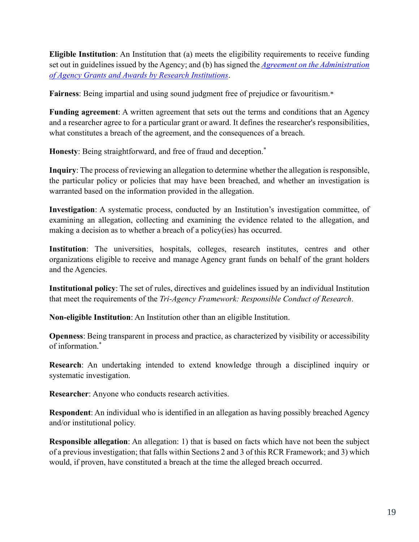**Eligible Institution**: An Institution that (a) meets the eligibility requirements to receive funding set out in guidelines issued by the Agency; and (b) has signed the *[Agreement on the Administration](https://www.science.gc.ca/eic/site/063.nsf/eng/h_56B87BE5.html?OpenDocument)  [of Agency Grants and Awards by Research Institutions](https://www.science.gc.ca/eic/site/063.nsf/eng/h_56B87BE5.html?OpenDocument)*.

**Fairness**: Being impartial and using sound judgment free of prejudice or favouritism.\*

**Funding agreement**: A written agreement that sets out the terms and conditions that an Agency and a researcher agree to for a particular grant or award. It defines the researcher's responsibilities, what constitutes a breach of the agreement, and the consequences of a breach.

**Honesty**: Being straightforward, and free of fraud and deception.\*

**Inquiry**: The process of reviewing an allegation to determine whether the allegation is responsible, the particular policy or policies that may have been breached, and whether an investigation is warranted based on the information provided in the allegation.

**Investigation**: A systematic process, conducted by an Institution's investigation committee, of examining an allegation, collecting and examining the evidence related to the allegation, and making a decision as to whether a breach of a policy(ies) has occurred.

**Institution**: The universities, hospitals, colleges, research institutes, centres and other organizations eligible to receive and manage Agency grant funds on behalf of the grant holders and the Agencies.

**Institutional policy**: The set of rules, directives and guidelines issued by an individual Institution that meet the requirements of the *Tri-Agency Framework: Responsible Conduct of Research*.

**Non-eligible Institution**: An Institution other than an eligible Institution.

**Openness**: Being transparent in process and practice, as characterized by visibility or accessibility of information.\*

**Research**: An undertaking intended to extend knowledge through a disciplined inquiry or systematic investigation.

**Researcher**: Anyone who conducts research activities.

**Respondent**: An individual who is identified in an allegation as having possibly breached Agency and/or institutional policy.

**Responsible allegation**: An allegation: 1) that is based on facts which have not been the subject of a previous investigation; that falls within Sections 2 and 3 of this RCR Framework; and 3) which would, if proven, have constituted a breach at the time the alleged breach occurred.